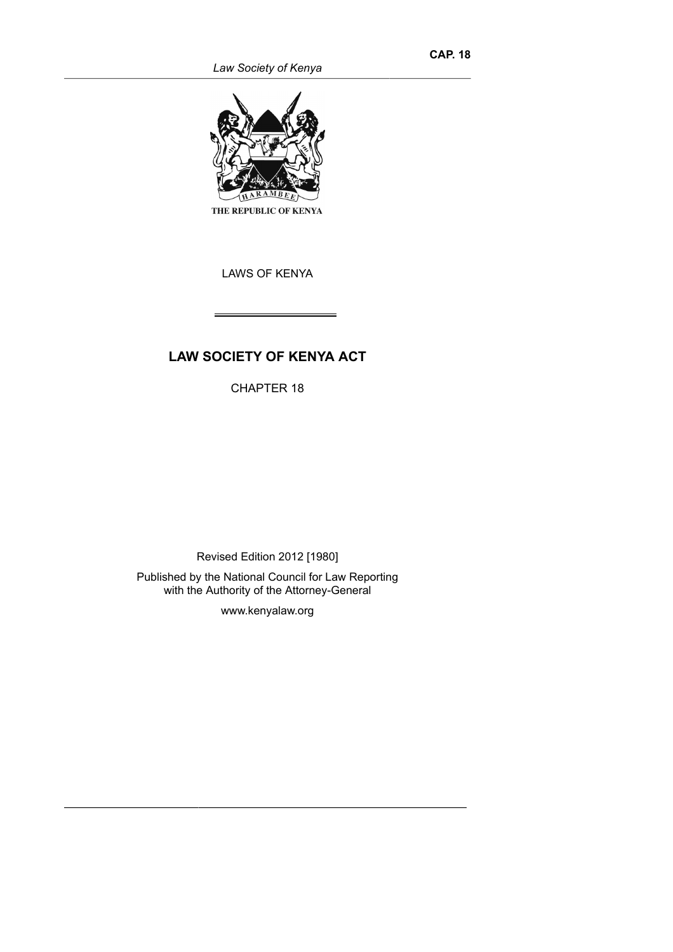*Law Society of Kenya*



THE REPUBLIC OF KENYA

LAWS OF KENYA

# **LAW SOCIETY OF KENYA ACT**

CHAPTER 18

Revised Edition 2012 [1980] Published by the National Council for Law Reporting with the Authority of the Attorney-General

www.kenyalaw.org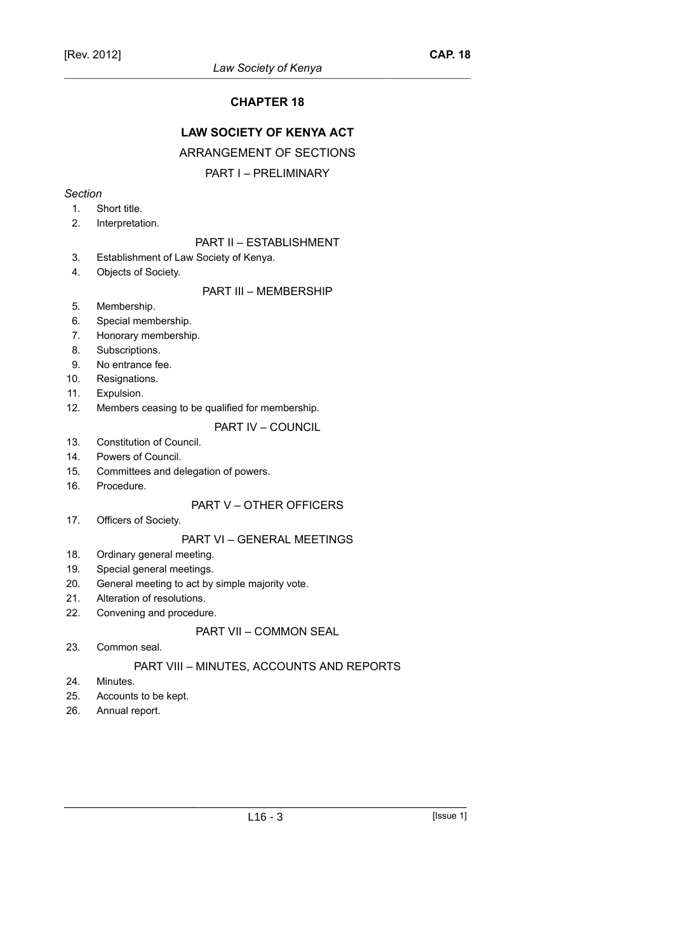# **CHAPTER 18**

# **LAW SOCIETY OF KENYA ACT**

# ARRANGEMENT OF SECTIONS

# PART I – PRELIMINARY

### *Section*

- 1. Short title.
- 2. Interpretation.

# PART II – ESTABLISHMENT

- 3. Establishment of Law Society of Kenya.
- 4. Objects of Society.

# PART III – MEMBERSHIP

- 5. Membership.
- 6. Special membership.
- 7. Honorary membership.
- 8. Subscriptions.
- 9. No entrance fee.
- 10. Resignations.
- 11. Expulsion.
- 12. Members ceasing to be qualified for membership.

# PART IV – COUNCIL

- 13. Constitution of Council.
- 14. Powers of Council.
- 15. Committees and delegation of powers.
- 16. Procedure.

# PART V – OTHER OFFICERS

17. Officers of Society.

# PART VI – GENERAL MEETINGS

- 18. Ordinary general meeting.
- 19. Special general meetings.
- 20. General meeting to act by simple majority vote.
- 21. Alteration of resolutions.
- 22. Convening and procedure.

# PART VII – COMMON SEAL

23. Common seal.

# PART VIII – MINUTES, ACCOUNTS AND REPORTS

- 24. Minutes.
- 25. Accounts to be kept.
- 26. Annual report.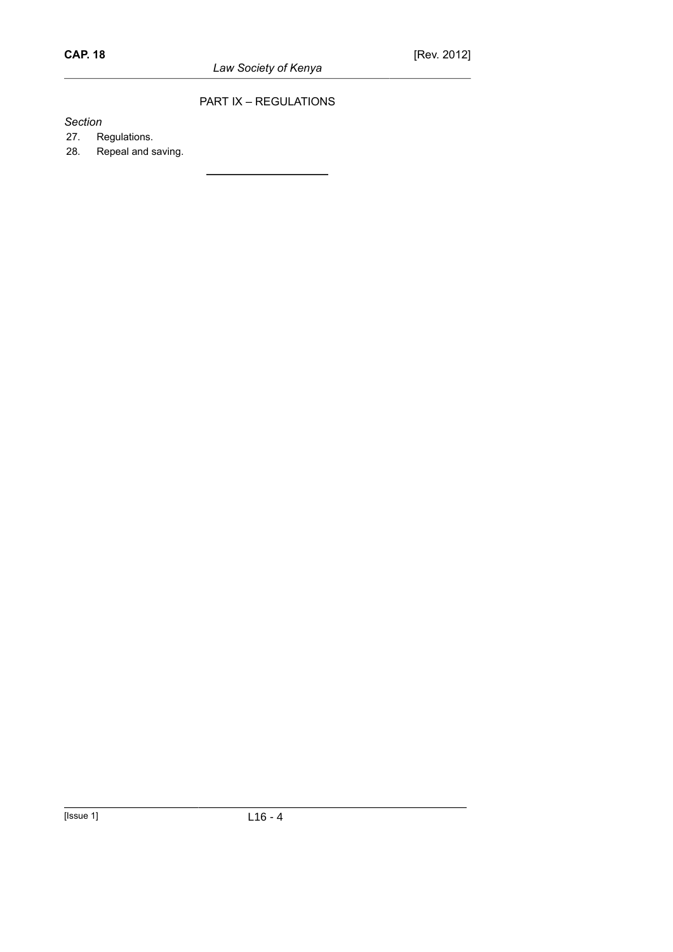*Law Society of Kenya*

PART IX – REGULATIONS

*Section*

27. Regulations.

28. Repeal and saving.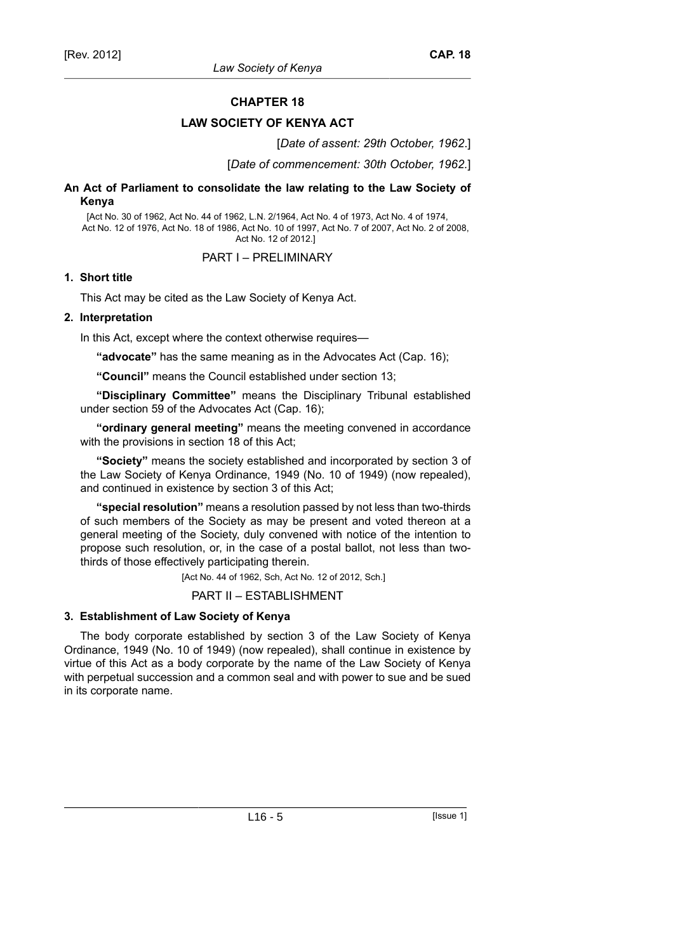## **CHAPTER 18**

## **LAW SOCIETY OF KENYA ACT**

[*Date of assent: 29th October, 1962*.]

[*Date of commencement: 30th October, 1962.*]

### **An Act of Parliament to consolidate the law relating to the Law Society of Kenya**

[Act No. 30 of 1962, Act No. 44 of 1962, L.N. 2/1964, Act No. 4 of 1973, Act No. 4 of 1974, Act No. 12 of 1976, Act No. 18 of 1986, Act No. 10 of 1997, Act No. 7 of 2007, Act No. 2 of 2008, Act No. 12 of 2012.]

### PART I – PRELIMINARY

### **1. Short title**

This Act may be cited as the Law Society of Kenya Act.

### **2. Interpretation**

In this Act, except where the context otherwise requires—

**"advocate"** has the same meaning as in the Advocates Act (Cap. 16);

**"Council"** means the Council established under section 13;

**"Disciplinary Committee"** means the Disciplinary Tribunal established under section 59 of the Advocates Act (Cap. 16);

**"ordinary general meeting"** means the meeting convened in accordance with the provisions in section 18 of this Act;

**"Society"** means the society established and incorporated by section 3 of the Law Society of Kenya Ordinance, 1949 (No. 10 of 1949) (now repealed), and continued in existence by section 3 of this Act;

**"special resolution"** means a resolution passed by not less than two-thirds of such members of the Society as may be present and voted thereon at a general meeting of the Society, duly convened with notice of the intention to propose such resolution, or, in the case of a postal ballot, not less than twothirds of those effectively participating therein.

[Act No. 44 of 1962, Sch, Act No. 12 of 2012, Sch.]

#### PART II – ESTABLISHMENT

### **3. Establishment of Law Society of Kenya**

The body corporate established by section 3 of the Law Society of Kenya Ordinance, 1949 (No. 10 of 1949) (now repealed), shall continue in existence by virtue of this Act as a body corporate by the name of the Law Society of Kenya with perpetual succession and a common seal and with power to sue and be sued in its corporate name.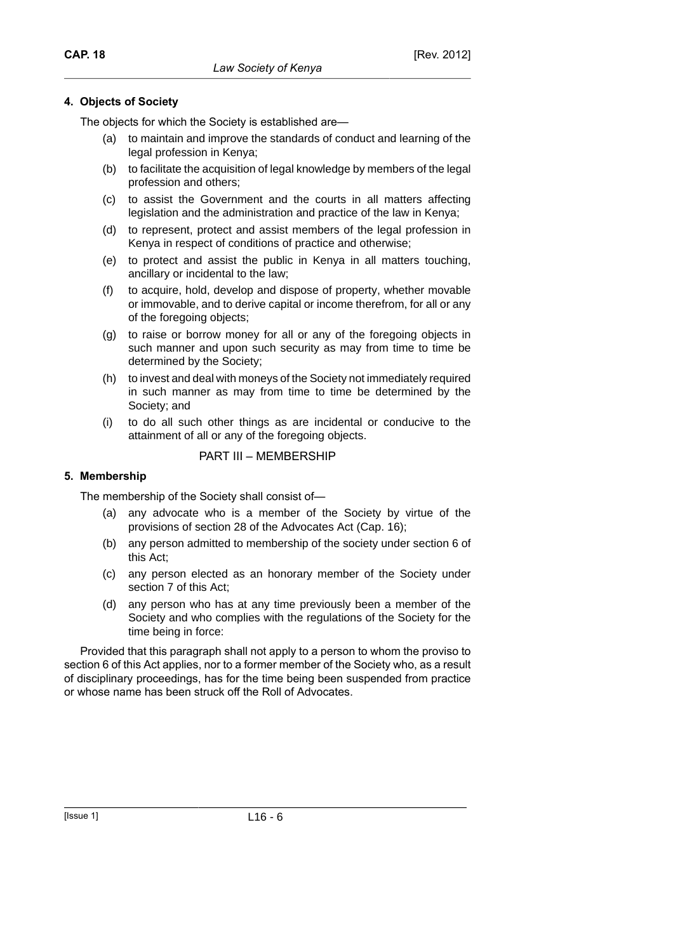### **4. Objects of Society**

The objects for which the Society is established are—

- to maintain and improve the standards of conduct and learning of the legal profession in Kenya;
- (b) to facilitate the acquisition of legal knowledge by members of the legal profession and others;
- (c) to assist the Government and the courts in all matters affecting legislation and the administration and practice of the law in Kenya;
- (d) to represent, protect and assist members of the legal profession in Kenya in respect of conditions of practice and otherwise;
- (e) to protect and assist the public in Kenya in all matters touching, ancillary or incidental to the law;
- (f) to acquire, hold, develop and dispose of property, whether movable or immovable, and to derive capital or income therefrom, for all or any of the foregoing objects;
- (g) to raise or borrow money for all or any of the foregoing objects in such manner and upon such security as may from time to time be determined by the Society;
- (h) to invest and deal with moneys of the Society not immediately required in such manner as may from time to time be determined by the Society; and
- (i) to do all such other things as are incidental or conducive to the attainment of all or any of the foregoing objects.

### PART III – MEMBERSHIP

## **5. Membership**

The membership of the Society shall consist of—

- (a) any advocate who is a member of the Society by virtue of the provisions of section 28 of the Advocates Act (Cap. 16);
- (b) any person admitted to membership of the society under section 6 of this Act;
- (c) any person elected as an honorary member of the Society under section 7 of this Act;
- (d) any person who has at any time previously been a member of the Society and who complies with the regulations of the Society for the time being in force:

Provided that this paragraph shall not apply to a person to whom the proviso to section 6 of this Act applies, nor to a former member of the Society who, as a result of disciplinary proceedings, has for the time being been suspended from practice or whose name has been struck off the Roll of Advocates.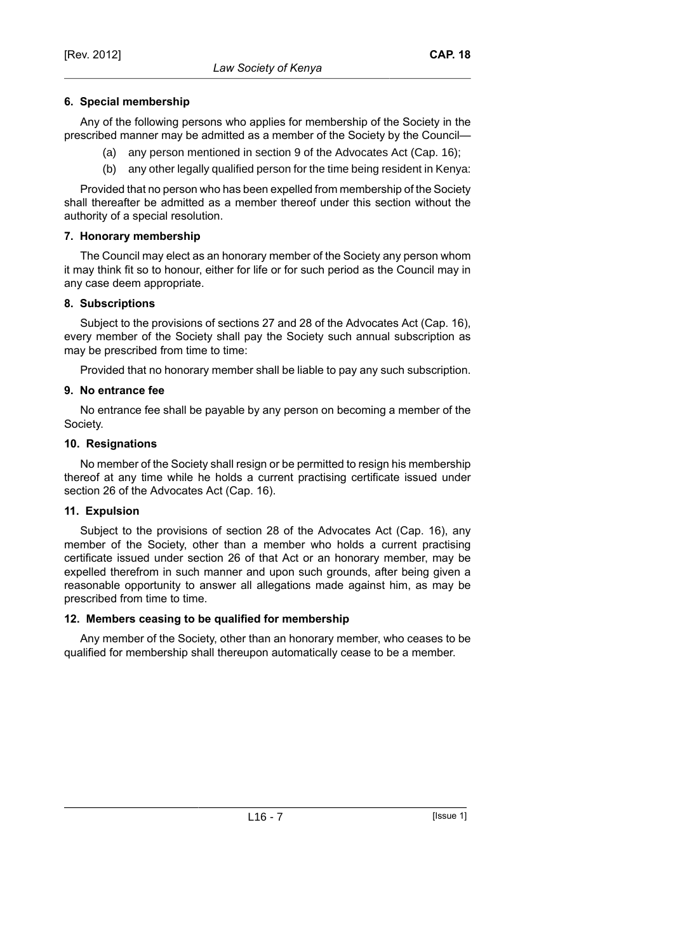Any of the following persons who applies for membership of the Society in the prescribed manner may be admitted as a member of the Society by the Council—

- (a) any person mentioned in section 9 of the Advocates Act (Cap. 16);
- (b) any other legally qualified person for the time being resident in Kenya:

Provided that no person who has been expelled from membership of the Society shall thereafter be admitted as a member thereof under this section without the authority of a special resolution.

### **7. Honorary membership**

The Council may elect as an honorary member of the Society any person whom it may think fit so to honour, either for life or for such period as the Council may in any case deem appropriate.

### **8. Subscriptions**

Subject to the provisions of sections 27 and 28 of the Advocates Act (Cap. 16), every member of the Society shall pay the Society such annual subscription as may be prescribed from time to time:

Provided that no honorary member shall be liable to pay any such subscription.

### **9. No entrance fee**

No entrance fee shall be payable by any person on becoming a member of the Society.

### **10. Resignations**

No member of the Society shall resign or be permitted to resign his membership thereof at any time while he holds a current practising certificate issued under section 26 of the Advocates Act (Cap. 16).

### **11. Expulsion**

Subject to the provisions of section 28 of the Advocates Act (Cap. 16), any member of the Society, other than a member who holds a current practising certificate issued under section 26 of that Act or an honorary member, may be expelled therefrom in such manner and upon such grounds, after being given a reasonable opportunity to answer all allegations made against him, as may be prescribed from time to time.

### **12. Members ceasing to be qualified for membership**

Any member of the Society, other than an honorary member, who ceases to be qualified for membership shall thereupon automatically cease to be a member.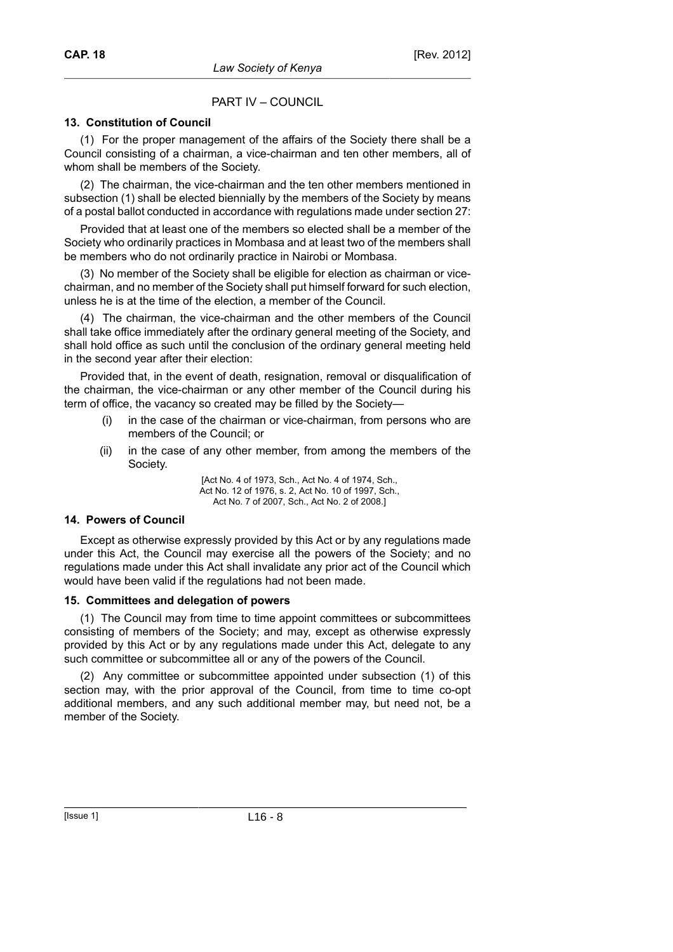# PART IV – COUNCIL

### **13. Constitution of Council**

(1) For the proper management of the affairs of the Society there shall be a Council consisting of a chairman, a vice-chairman and ten other members, all of whom shall be members of the Society.

(2) The chairman, the vice-chairman and the ten other members mentioned in subsection (1) shall be elected biennially by the members of the Society by means of a postal ballot conducted in accordance with regulations made under section 27:

Provided that at least one of the members so elected shall be a member of the Society who ordinarily practices in Mombasa and at least two of the members shall be members who do not ordinarily practice in Nairobi or Mombasa.

(3) No member of the Society shall be eligible for election as chairman or vicechairman, and no member of the Society shall put himself forward for such election, unless he is at the time of the election, a member of the Council.

(4) The chairman, the vice-chairman and the other members of the Council shall take office immediately after the ordinary general meeting of the Society, and shall hold office as such until the conclusion of the ordinary general meeting held in the second year after their election:

Provided that, in the event of death, resignation, removal or disqualification of the chairman, the vice-chairman or any other member of the Council during his term of office, the vacancy so created may be filled by the Society—

- (i) in the case of the chairman or vice-chairman, from persons who are members of the Council; or
- (ii) in the case of any other member, from among the members of the Society.

[Act No. 4 of 1973, Sch., Act No. 4 of 1974, Sch., Act No. 12 of 1976, s. 2, Act No. 10 of 1997, Sch., Act No. 7 of 2007, Sch., Act No. 2 of 2008.]

### **14. Powers of Council**

Except as otherwise expressly provided by this Act or by any regulations made under this Act, the Council may exercise all the powers of the Society; and no regulations made under this Act shall invalidate any prior act of the Council which would have been valid if the regulations had not been made.

### **15. Committees and delegation of powers**

(1) The Council may from time to time appoint committees or subcommittees consisting of members of the Society; and may, except as otherwise expressly provided by this Act or by any regulations made under this Act, delegate to any such committee or subcommittee all or any of the powers of the Council.

(2) Any committee or subcommittee appointed under subsection (1) of this section may, with the prior approval of the Council, from time to time co-opt additional members, and any such additional member may, but need not, be a member of the Society.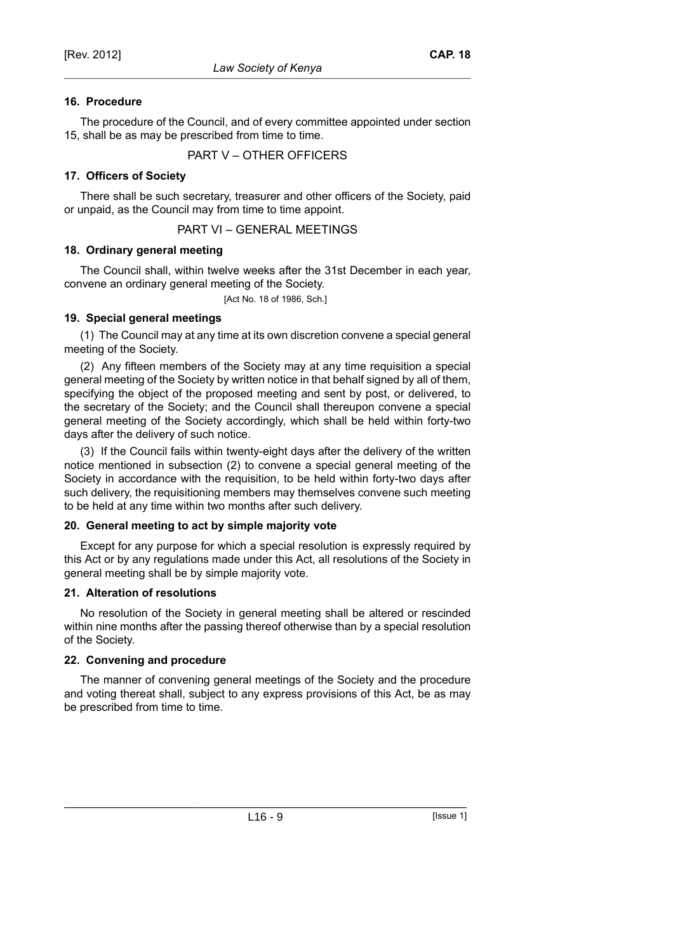# **16. Procedure**

The procedure of the Council, and of every committee appointed under section 15, shall be as may be prescribed from time to time.

PART V – OTHER OFFICERS

# **17. Officers of Society**

There shall be such secretary, treasurer and other officers of the Society, paid or unpaid, as the Council may from time to time appoint.

PART VI – GENERAL MEETINGS

# **18. Ordinary general meeting**

The Council shall, within twelve weeks after the 31st December in each year, convene an ordinary general meeting of the Society.

[Act No. 18 of 1986, Sch.]

# **19. Special general meetings**

(1) The Council may at any time at its own discretion convene a special general meeting of the Society.

(2) Any fifteen members of the Society may at any time requisition a special general meeting of the Society by written notice in that behalf signed by all of them, specifying the object of the proposed meeting and sent by post, or delivered, to the secretary of the Society; and the Council shall thereupon convene a special general meeting of the Society accordingly, which shall be held within forty-two days after the delivery of such notice.

(3) If the Council fails within twenty-eight days after the delivery of the written notice mentioned in subsection (2) to convene a special general meeting of the Society in accordance with the requisition, to be held within forty-two days after such delivery, the requisitioning members may themselves convene such meeting to be held at any time within two months after such delivery.

# **20. General meeting to act by simple majority vote**

Except for any purpose for which a special resolution is expressly required by this Act or by any regulations made under this Act, all resolutions of the Society in general meeting shall be by simple majority vote.

# **21. Alteration of resolutions**

No resolution of the Society in general meeting shall be altered or rescinded within nine months after the passing thereof otherwise than by a special resolution of the Society.

# **22. Convening and procedure**

The manner of convening general meetings of the Society and the procedure and voting thereat shall, subject to any express provisions of this Act, be as may be prescribed from time to time.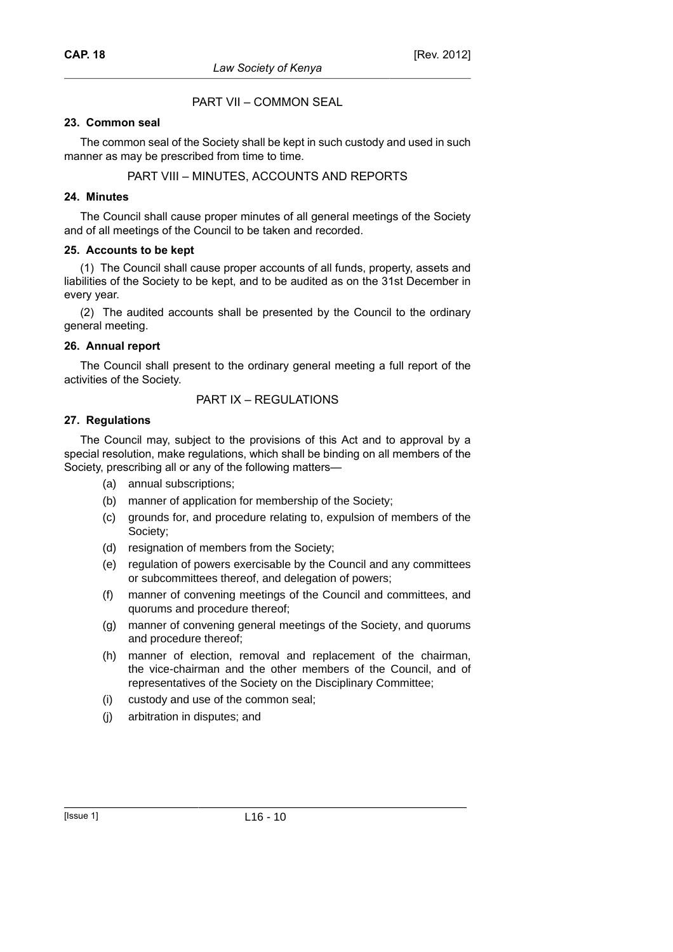# PART VII – COMMON SEAL

## **23. Common seal**

The common seal of the Society shall be kept in such custody and used in such manner as may be prescribed from time to time.

# PART VIII – MINUTES, ACCOUNTS AND REPORTS

## **24. Minutes**

The Council shall cause proper minutes of all general meetings of the Society and of all meetings of the Council to be taken and recorded.

# **25. Accounts to be kept**

(1) The Council shall cause proper accounts of all funds, property, assets and liabilities of the Society to be kept, and to be audited as on the 31st December in every year.

(2) The audited accounts shall be presented by the Council to the ordinary general meeting.

# **26. Annual report**

The Council shall present to the ordinary general meeting a full report of the activities of the Society.

# PART IX – REGULATIONS

# **27. Regulations**

The Council may, subject to the provisions of this Act and to approval by a special resolution, make regulations, which shall be binding on all members of the Society, prescribing all or any of the following matters—

- (a) annual subscriptions;
- (b) manner of application for membership of the Society;
- (c) grounds for, and procedure relating to, expulsion of members of the Society;
- (d) resignation of members from the Society;
- (e) regulation of powers exercisable by the Council and any committees or subcommittees thereof, and delegation of powers;
- (f) manner of convening meetings of the Council and committees, and quorums and procedure thereof;
- (g) manner of convening general meetings of the Society, and quorums and procedure thereof;
- (h) manner of election, removal and replacement of the chairman, the vice-chairman and the other members of the Council, and of representatives of the Society on the Disciplinary Committee;
- (i) custody and use of the common seal;
- (j) arbitration in disputes; and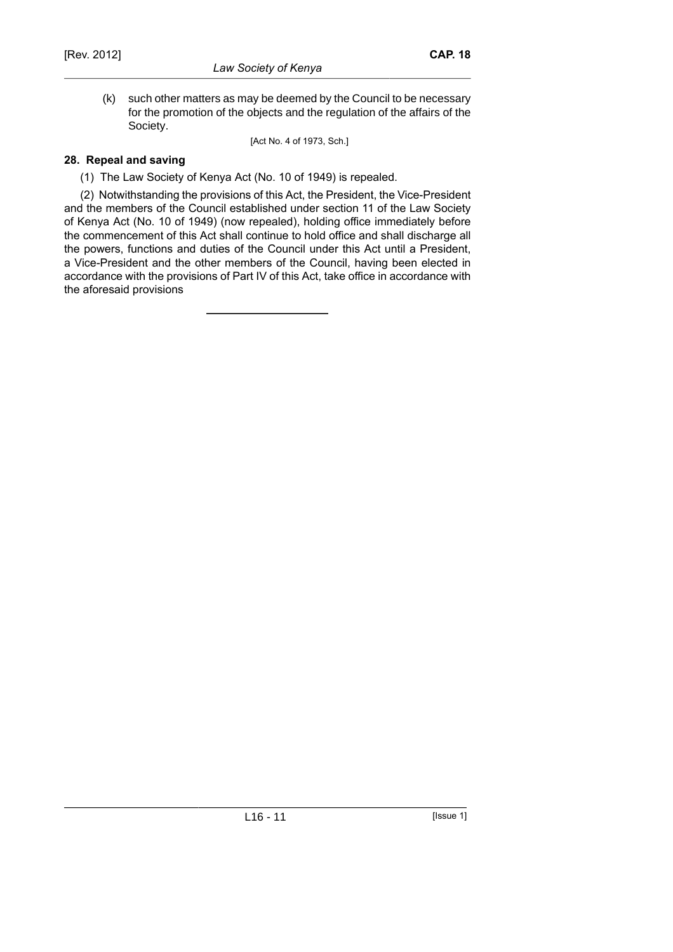(k) such other matters as may be deemed by the Council to be necessary for the promotion of the objects and the regulation of the affairs of the Society.

[Act No. 4 of 1973, Sch.]

## **28. Repeal and saving**

(1) The Law Society of Kenya Act (No. 10 of 1949) is repealed.

(2) Notwithstanding the provisions of this Act, the President, the Vice-President and the members of the Council established under section 11 of the Law Society of Kenya Act (No. 10 of 1949) (now repealed), holding office immediately before the commencement of this Act shall continue to hold office and shall discharge all the powers, functions and duties of the Council under this Act until a President, a Vice-President and the other members of the Council, having been elected in accordance with the provisions of Part IV of this Act, take office in accordance with the aforesaid provisions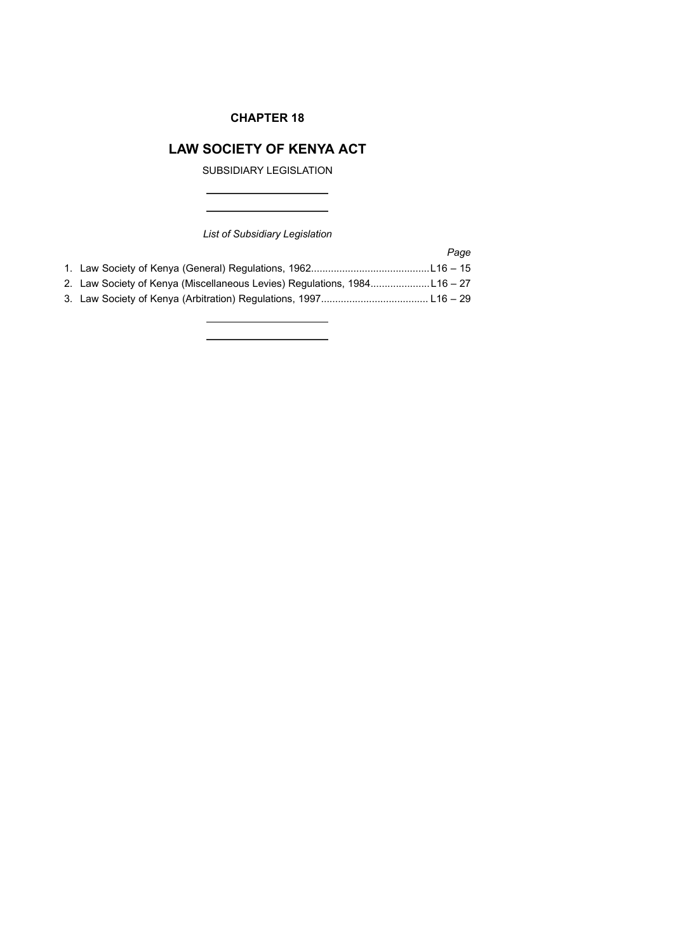# **CHAPTER 18**

# **LAW SOCIETY OF KENYA ACT**

SUBSIDIARY LEGISLATION

 $\mathcal{L}$ 

<u> 1980 - Johann Barbara, martin a</u>

*List of Subsidiary Legislation*

|                                                                         | Page |
|-------------------------------------------------------------------------|------|
|                                                                         |      |
| 2. Law Society of Kenya (Miscellaneous Levies) Regulations, 198416 – 27 |      |
|                                                                         |      |
|                                                                         |      |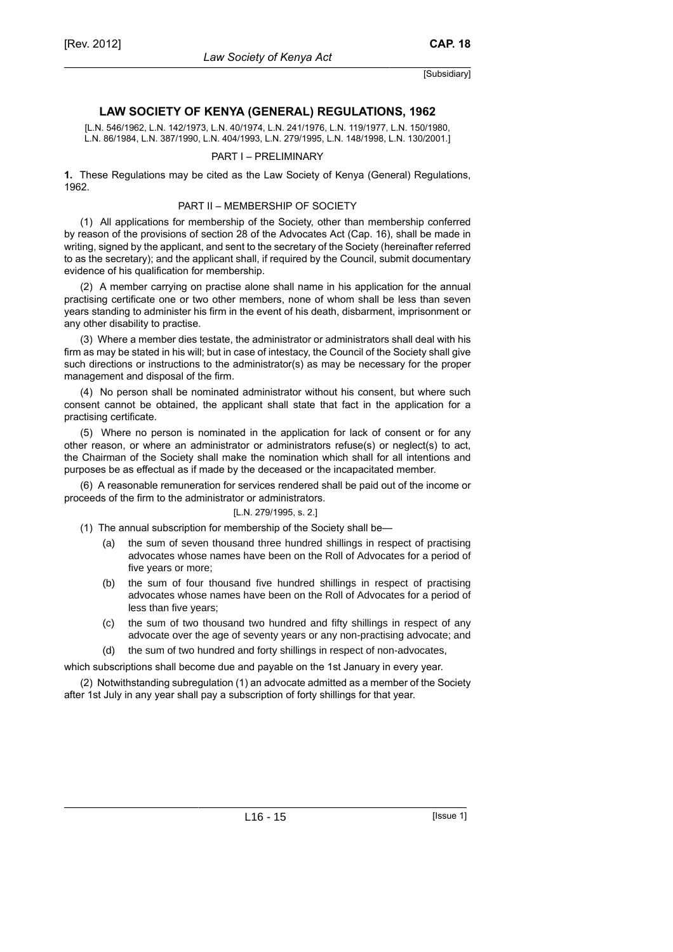## **LAW SOCIETY OF KENYA (GENERAL) REGULATIONS, 1962**

[L.N. 546/1962, L.N. 142/1973, L.N. 40/1974, L.N. 241/1976, L.N. 119/1977, L.N. 150/1980, L.N. 86/1984, L.N. 387/1990, L.N. 404/1993, L.N. 279/1995, L.N. 148/1998, L.N. 130/2001.]

#### PART I – PRELIMINARY

**1.** These Regulations may be cited as the Law Society of Kenya (General) Regulations, 1962.

#### PART II – MEMBERSHIP OF SOCIETY

(1) All applications for membership of the Society, other than membership conferred by reason of the provisions of section 28 of the Advocates Act (Cap. 16), shall be made in writing, signed by the applicant, and sent to the secretary of the Society (hereinafter referred to as the secretary); and the applicant shall, if required by the Council, submit documentary evidence of his qualification for membership.

(2) A member carrying on practise alone shall name in his application for the annual practising certificate one or two other members, none of whom shall be less than seven years standing to administer his firm in the event of his death, disbarment, imprisonment or any other disability to practise.

(3) Where a member dies testate, the administrator or administrators shall deal with his firm as may be stated in his will; but in case of intestacy, the Council of the Society shall give such directions or instructions to the administrator(s) as may be necessary for the proper management and disposal of the firm.

(4) No person shall be nominated administrator without his consent, but where such consent cannot be obtained, the applicant shall state that fact in the application for a practising certificate.

(5) Where no person is nominated in the application for lack of consent or for any other reason, or where an administrator or administrators refuse(s) or neglect(s) to act, the Chairman of the Society shall make the nomination which shall for all intentions and purposes be as effectual as if made by the deceased or the incapacitated member.

(6) A reasonable remuneration for services rendered shall be paid out of the income or proceeds of the firm to the administrator or administrators.

#### [L.N. 279/1995, s. 2.]

- (1) The annual subscription for membership of the Society shall be—
	- (a) the sum of seven thousand three hundred shillings in respect of practising advocates whose names have been on the Roll of Advocates for a period of five years or more;
	- (b) the sum of four thousand five hundred shillings in respect of practising advocates whose names have been on the Roll of Advocates for a period of less than five years;
	- (c) the sum of two thousand two hundred and fifty shillings in respect of any advocate over the age of seventy years or any non-practising advocate; and

(d) the sum of two hundred and forty shillings in respect of non-advocates,

which subscriptions shall become due and payable on the 1st January in every year.

(2) Notwithstanding subregulation (1) an advocate admitted as a member of the Society after 1st July in any year shall pay a subscription of forty shillings for that year.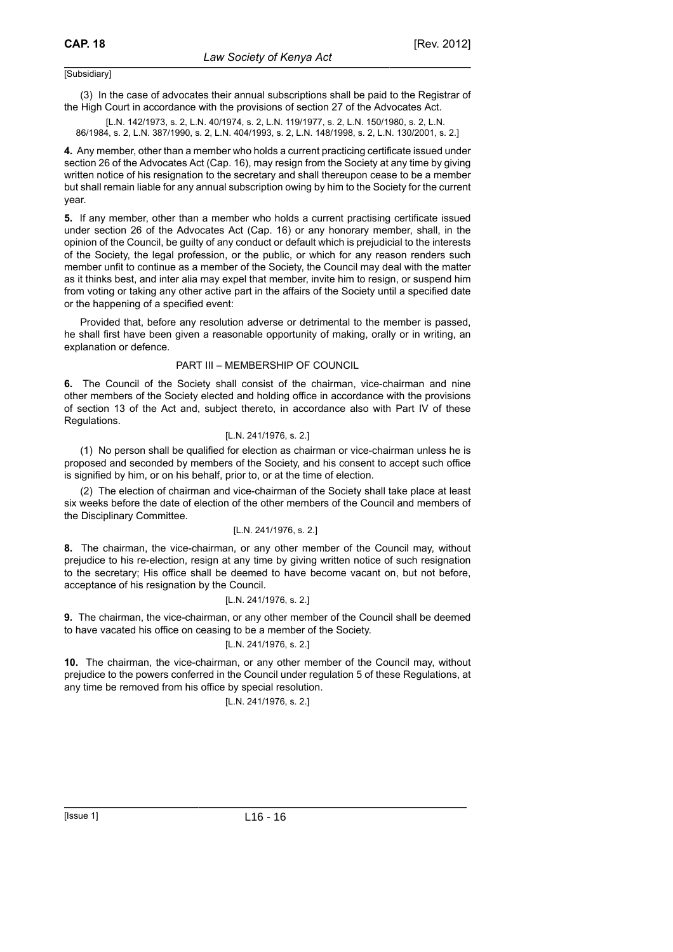(3) In the case of advocates their annual subscriptions shall be paid to the Registrar of the High Court in accordance with the provisions of section 27 of the Advocates Act.

[L.N. 142/1973, s. 2, L.N. 40/1974, s. 2, L.N. 119/1977, s. 2, L.N. 150/1980, s. 2, L.N. 86/1984, s. 2, L.N. 387/1990, s. 2, L.N. 404/1993, s. 2, L.N. 148/1998, s. 2, L.N. 130/2001, s. 2.]

**4.** Any member, other than a member who holds a current practicing certificate issued under section 26 of the Advocates Act (Cap. 16), may resign from the Society at any time by giving written notice of his resignation to the secretary and shall thereupon cease to be a member but shall remain liable for any annual subscription owing by him to the Society for the current year.

**5.** If any member, other than a member who holds a current practising certificate issued under section 26 of the Advocates Act (Cap. 16) or any honorary member, shall, in the opinion of the Council, be guilty of any conduct or default which is prejudicial to the interests of the Society, the legal profession, or the public, or which for any reason renders such member unfit to continue as a member of the Society, the Council may deal with the matter as it thinks best, and inter alia may expel that member, invite him to resign, or suspend him from voting or taking any other active part in the affairs of the Society until a specified date or the happening of a specified event:

Provided that, before any resolution adverse or detrimental to the member is passed, he shall first have been given a reasonable opportunity of making, orally or in writing, an explanation or defence.

#### PART III – MEMBERSHIP OF COUNCIL

**6.** The Council of the Society shall consist of the chairman, vice-chairman and nine other members of the Society elected and holding office in accordance with the provisions of section 13 of the Act and, subject thereto, in accordance also with Part IV of these Regulations.

#### [L.N. 241/1976, s. 2.]

(1) No person shall be qualified for election as chairman or vice-chairman unless he is proposed and seconded by members of the Society, and his consent to accept such office is signified by him, or on his behalf, prior to, or at the time of election.

(2) The election of chairman and vice-chairman of the Society shall take place at least six weeks before the date of election of the other members of the Council and members of the Disciplinary Committee.

#### [L.N. 241/1976, s. 2.]

**8.** The chairman, the vice-chairman, or any other member of the Council may, without prejudice to his re-election, resign at any time by giving written notice of such resignation to the secretary; His office shall be deemed to have become vacant on, but not before, acceptance of his resignation by the Council.

#### [L.N. 241/1976, s. 2.]

**9.** The chairman, the vice-chairman, or any other member of the Council shall be deemed to have vacated his office on ceasing to be a member of the Society.

#### [L.N. 241/1976, s. 2.]

**10.** The chairman, the vice-chairman, or any other member of the Council may, without prejudice to the powers conferred in the Council under regulation 5 of these Regulations, at any time be removed from his office by special resolution.

#### [L.N. 241/1976, s. 2.]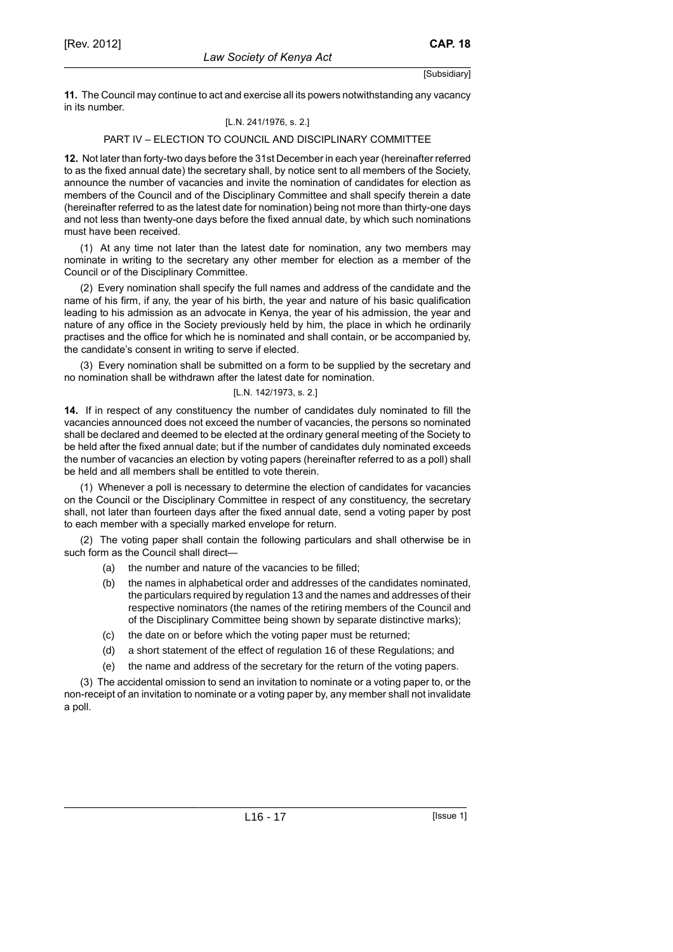**11.** The Council may continue to act and exercise all its powers notwithstanding any vacancy in its number.

#### [L.N. 241/1976, s. 2.]

#### PART IV – ELECTION TO COUNCIL AND DISCIPLINARY COMMITTEE

**12.** Not later than forty-two days before the 31st December in each year (hereinafter referred to as the fixed annual date) the secretary shall, by notice sent to all members of the Society, announce the number of vacancies and invite the nomination of candidates for election as members of the Council and of the Disciplinary Committee and shall specify therein a date (hereinafter referred to as the latest date for nomination) being not more than thirty-one days and not less than twenty-one days before the fixed annual date, by which such nominations must have been received.

(1) At any time not later than the latest date for nomination, any two members may nominate in writing to the secretary any other member for election as a member of the Council or of the Disciplinary Committee.

(2) Every nomination shall specify the full names and address of the candidate and the name of his firm, if any, the year of his birth, the year and nature of his basic qualification leading to his admission as an advocate in Kenya, the year of his admission, the year and nature of any office in the Society previously held by him, the place in which he ordinarily practises and the office for which he is nominated and shall contain, or be accompanied by, the candidate's consent in writing to serve if elected.

(3) Every nomination shall be submitted on a form to be supplied by the secretary and no nomination shall be withdrawn after the latest date for nomination.

#### [L.N. 142/1973, s. 2.]

**14.** If in respect of any constituency the number of candidates duly nominated to fill the vacancies announced does not exceed the number of vacancies, the persons so nominated shall be declared and deemed to be elected at the ordinary general meeting of the Society to be held after the fixed annual date; but if the number of candidates duly nominated exceeds the number of vacancies an election by voting papers (hereinafter referred to as a poll) shall be held and all members shall be entitled to vote therein.

(1) Whenever a poll is necessary to determine the election of candidates for vacancies on the Council or the Disciplinary Committee in respect of any constituency, the secretary shall, not later than fourteen days after the fixed annual date, send a voting paper by post to each member with a specially marked envelope for return.

(2) The voting paper shall contain the following particulars and shall otherwise be in such form as the Council shall direct—

- (a) the number and nature of the vacancies to be filled;
- (b) the names in alphabetical order and addresses of the candidates nominated, the particulars required by regulation 13 and the names and addresses of their respective nominators (the names of the retiring members of the Council and of the Disciplinary Committee being shown by separate distinctive marks);
- (c) the date on or before which the voting paper must be returned;
- (d) a short statement of the effect of regulation 16 of these Regulations; and
- (e) the name and address of the secretary for the return of the voting papers.

(3) The accidental omission to send an invitation to nominate or a voting paper to, or the non-receipt of an invitation to nominate or a voting paper by, any member shall not invalidate a poll.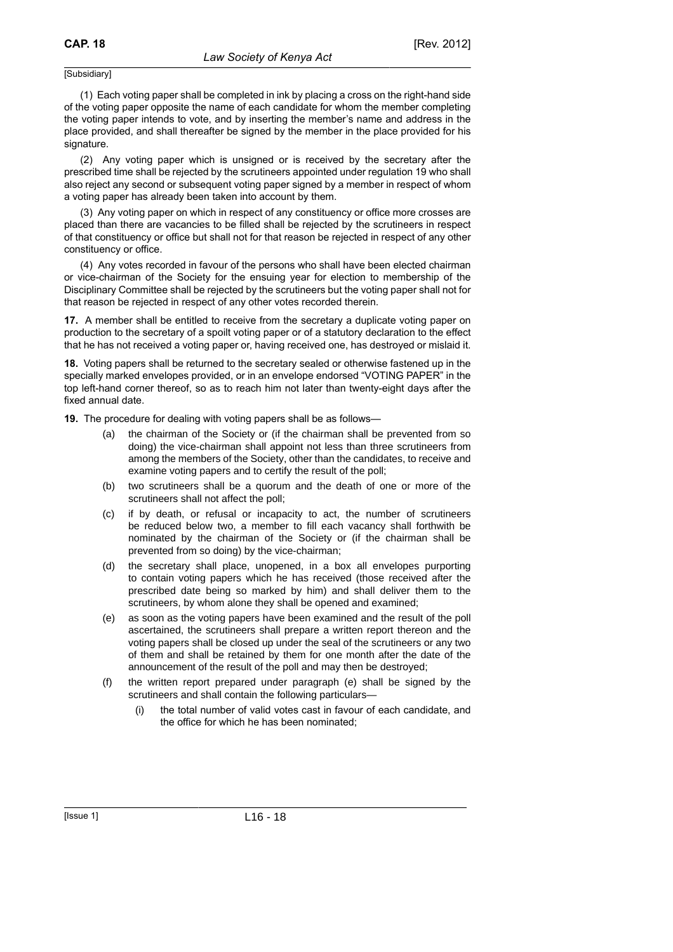(1) Each voting paper shall be completed in ink by placing a cross on the right-hand side of the voting paper opposite the name of each candidate for whom the member completing the voting paper intends to vote, and by inserting the member's name and address in the place provided, and shall thereafter be signed by the member in the place provided for his signature.

(2) Any voting paper which is unsigned or is received by the secretary after the prescribed time shall be rejected by the scrutineers appointed under regulation 19 who shall also reject any second or subsequent voting paper signed by a member in respect of whom a voting paper has already been taken into account by them.

(3) Any voting paper on which in respect of any constituency or office more crosses are placed than there are vacancies to be filled shall be rejected by the scrutineers in respect of that constituency or office but shall not for that reason be rejected in respect of any other constituency or office.

(4) Any votes recorded in favour of the persons who shall have been elected chairman or vice-chairman of the Society for the ensuing year for election to membership of the Disciplinary Committee shall be rejected by the scrutineers but the voting paper shall not for that reason be rejected in respect of any other votes recorded therein.

**17.** A member shall be entitled to receive from the secretary a duplicate voting paper on production to the secretary of a spoilt voting paper or of a statutory declaration to the effect that he has not received a voting paper or, having received one, has destroyed or mislaid it.

**18.** Voting papers shall be returned to the secretary sealed or otherwise fastened up in the specially marked envelopes provided, or in an envelope endorsed "VOTING PAPER" in the top left-hand corner thereof, so as to reach him not later than twenty-eight days after the fixed annual date.

**19.** The procedure for dealing with voting papers shall be as follows—

- (a) the chairman of the Society or (if the chairman shall be prevented from so doing) the vice-chairman shall appoint not less than three scrutineers from among the members of the Society, other than the candidates, to receive and examine voting papers and to certify the result of the poll;
- (b) two scrutineers shall be a quorum and the death of one or more of the scrutineers shall not affect the poll;
- (c) if by death, or refusal or incapacity to act, the number of scrutineers be reduced below two, a member to fill each vacancy shall forthwith be nominated by the chairman of the Society or (if the chairman shall be prevented from so doing) by the vice-chairman;
- (d) the secretary shall place, unopened, in a box all envelopes purporting to contain voting papers which he has received (those received after the prescribed date being so marked by him) and shall deliver them to the scrutineers, by whom alone they shall be opened and examined;
- (e) as soon as the voting papers have been examined and the result of the poll ascertained, the scrutineers shall prepare a written report thereon and the voting papers shall be closed up under the seal of the scrutineers or any two of them and shall be retained by them for one month after the date of the announcement of the result of the poll and may then be destroyed;
- (f) the written report prepared under paragraph (e) shall be signed by the scrutineers and shall contain the following particulars—
	- (i) the total number of valid votes cast in favour of each candidate, and the office for which he has been nominated;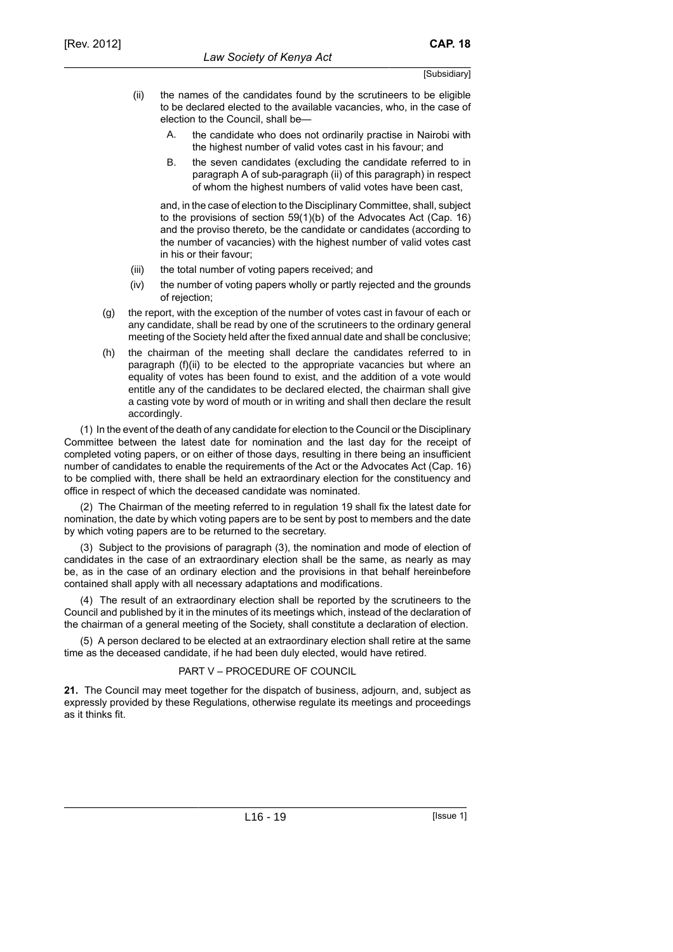- (ii) the names of the candidates found by the scrutineers to be eligible to be declared elected to the available vacancies, who, in the case of election to the Council, shall be—
	- A. the candidate who does not ordinarily practise in Nairobi with the highest number of valid votes cast in his favour; and
	- B. the seven candidates (excluding the candidate referred to in paragraph A of sub-paragraph (ii) of this paragraph) in respect of whom the highest numbers of valid votes have been cast,

and, in the case of election to the Disciplinary Committee, shall, subject to the provisions of section 59(1)(b) of the Advocates Act (Cap. 16) and the proviso thereto, be the candidate or candidates (according to the number of vacancies) with the highest number of valid votes cast in his or their favour;

- (iii) the total number of voting papers received; and
- (iv) the number of voting papers wholly or partly rejected and the grounds of rejection;
- (g) the report, with the exception of the number of votes cast in favour of each or any candidate, shall be read by one of the scrutineers to the ordinary general meeting of the Society held after the fixed annual date and shall be conclusive;
- (h) the chairman of the meeting shall declare the candidates referred to in paragraph (f)(ii) to be elected to the appropriate vacancies but where an equality of votes has been found to exist, and the addition of a vote would entitle any of the candidates to be declared elected, the chairman shall give a casting vote by word of mouth or in writing and shall then declare the result accordingly.

(1) In the event of the death of any candidate for election to the Council or the Disciplinary Committee between the latest date for nomination and the last day for the receipt of completed voting papers, or on either of those days, resulting in there being an insufficient number of candidates to enable the requirements of the Act or the Advocates Act (Cap. 16) to be complied with, there shall be held an extraordinary election for the constituency and office in respect of which the deceased candidate was nominated.

(2) The Chairman of the meeting referred to in regulation 19 shall fix the latest date for nomination, the date by which voting papers are to be sent by post to members and the date by which voting papers are to be returned to the secretary.

(3) Subject to the provisions of paragraph (3), the nomination and mode of election of candidates in the case of an extraordinary election shall be the same, as nearly as may be, as in the case of an ordinary election and the provisions in that behalf hereinbefore contained shall apply with all necessary adaptations and modifications.

(4) The result of an extraordinary election shall be reported by the scrutineers to the Council and published by it in the minutes of its meetings which, instead of the declaration of the chairman of a general meeting of the Society, shall constitute a declaration of election.

(5) A person declared to be elected at an extraordinary election shall retire at the same time as the deceased candidate, if he had been duly elected, would have retired.

#### PART V – PROCEDURE OF COUNCIL

**21.** The Council may meet together for the dispatch of business, adjourn, and, subject as expressly provided by these Regulations, otherwise regulate its meetings and proceedings as it thinks fit.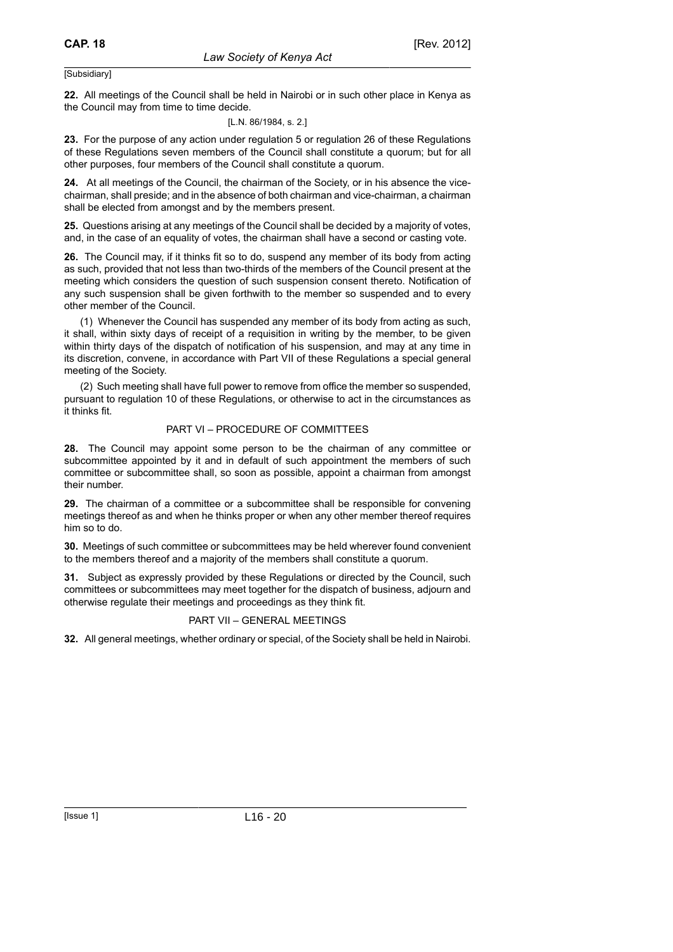**22.** All meetings of the Council shall be held in Nairobi or in such other place in Kenya as the Council may from time to time decide.

$$
[L.N. 86/1984, s. 2.]
$$

**23.** For the purpose of any action under regulation 5 or regulation 26 of these Regulations of these Regulations seven members of the Council shall constitute a quorum; but for all other purposes, four members of the Council shall constitute a quorum.

**24.** At all meetings of the Council, the chairman of the Society, or in his absence the vicechairman, shall preside; and in the absence of both chairman and vice-chairman, a chairman shall be elected from amongst and by the members present.

**25.** Questions arising at any meetings of the Council shall be decided by a majority of votes, and, in the case of an equality of votes, the chairman shall have a second or casting vote.

**26.** The Council may, if it thinks fit so to do, suspend any member of its body from acting as such, provided that not less than two-thirds of the members of the Council present at the meeting which considers the question of such suspension consent thereto. Notification of any such suspension shall be given forthwith to the member so suspended and to every other member of the Council.

(1) Whenever the Council has suspended any member of its body from acting as such, it shall, within sixty days of receipt of a requisition in writing by the member, to be given within thirty days of the dispatch of notification of his suspension, and may at any time in its discretion, convene, in accordance with Part VII of these Regulations a special general meeting of the Society.

(2) Such meeting shall have full power to remove from office the member so suspended, pursuant to regulation 10 of these Regulations, or otherwise to act in the circumstances as it thinks fit.

### PART VI – PROCEDURE OF COMMITTEES

**28.** The Council may appoint some person to be the chairman of any committee or subcommittee appointed by it and in default of such appointment the members of such committee or subcommittee shall, so soon as possible, appoint a chairman from amongst their number.

**29.** The chairman of a committee or a subcommittee shall be responsible for convening meetings thereof as and when he thinks proper or when any other member thereof requires him so to do.

**30.** Meetings of such committee or subcommittees may be held wherever found convenient to the members thereof and a majority of the members shall constitute a quorum.

**31.** Subject as expressly provided by these Regulations or directed by the Council, such committees or subcommittees may meet together for the dispatch of business, adjourn and otherwise regulate their meetings and proceedings as they think fit.

#### PART VII – GENERAL MEETINGS

**32.** All general meetings, whether ordinary or special, of the Society shall be held in Nairobi.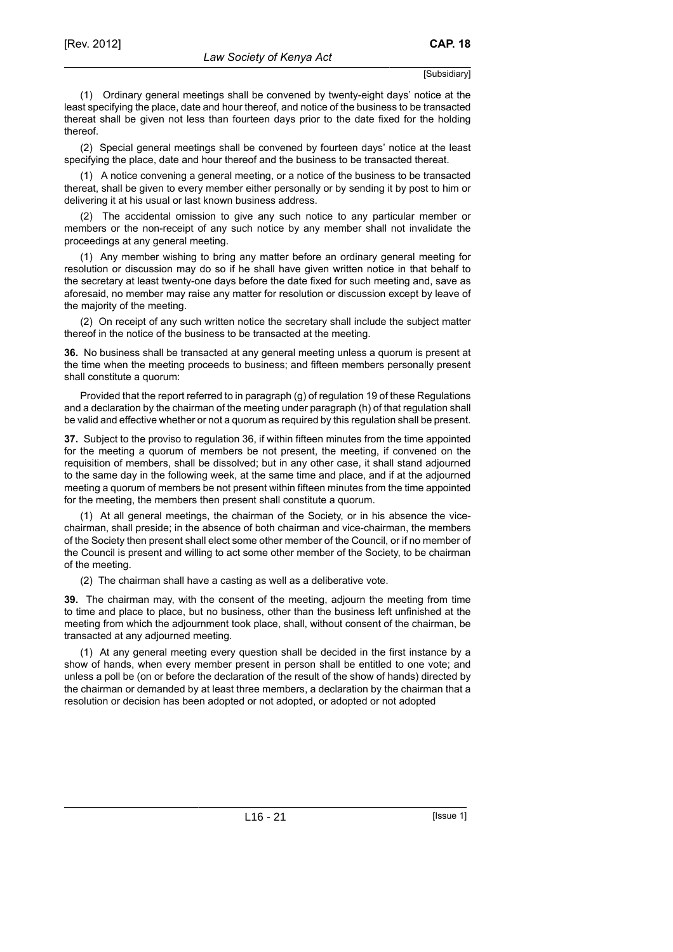(1) Ordinary general meetings shall be convened by twenty-eight days' notice at the least specifying the place, date and hour thereof, and notice of the business to be transacted thereat shall be given not less than fourteen days prior to the date fixed for the holding thereof.

(2) Special general meetings shall be convened by fourteen days' notice at the least specifying the place, date and hour thereof and the business to be transacted thereat.

(1) A notice convening a general meeting, or a notice of the business to be transacted thereat, shall be given to every member either personally or by sending it by post to him or delivering it at his usual or last known business address.

(2) The accidental omission to give any such notice to any particular member or members or the non-receipt of any such notice by any member shall not invalidate the proceedings at any general meeting.

(1) Any member wishing to bring any matter before an ordinary general meeting for resolution or discussion may do so if he shall have given written notice in that behalf to the secretary at least twenty-one days before the date fixed for such meeting and, save as aforesaid, no member may raise any matter for resolution or discussion except by leave of the majority of the meeting.

(2) On receipt of any such written notice the secretary shall include the subject matter thereof in the notice of the business to be transacted at the meeting.

**36.** No business shall be transacted at any general meeting unless a quorum is present at the time when the meeting proceeds to business; and fifteen members personally present shall constitute a quorum:

Provided that the report referred to in paragraph (g) of regulation 19 of these Regulations and a declaration by the chairman of the meeting under paragraph (h) of that regulation shall be valid and effective whether or not a quorum as required by this regulation shall be present.

**37.** Subject to the proviso to regulation 36, if within fifteen minutes from the time appointed for the meeting a quorum of members be not present, the meeting, if convened on the requisition of members, shall be dissolved; but in any other case, it shall stand adjourned to the same day in the following week, at the same time and place, and if at the adjourned meeting a quorum of members be not present within fifteen minutes from the time appointed for the meeting, the members then present shall constitute a quorum.

(1) At all general meetings, the chairman of the Society, or in his absence the vicechairman, shall preside; in the absence of both chairman and vice-chairman, the members of the Society then present shall elect some other member of the Council, or if no member of the Council is present and willing to act some other member of the Society, to be chairman of the meeting.

(2) The chairman shall have a casting as well as a deliberative vote.

**39.** The chairman may, with the consent of the meeting, adjourn the meeting from time to time and place to place, but no business, other than the business left unfinished at the meeting from which the adjournment took place, shall, without consent of the chairman, be transacted at any adjourned meeting.

(1) At any general meeting every question shall be decided in the first instance by a show of hands, when every member present in person shall be entitled to one vote; and unless a poll be (on or before the declaration of the result of the show of hands) directed by the chairman or demanded by at least three members, a declaration by the chairman that a resolution or decision has been adopted or not adopted, or adopted or not adopted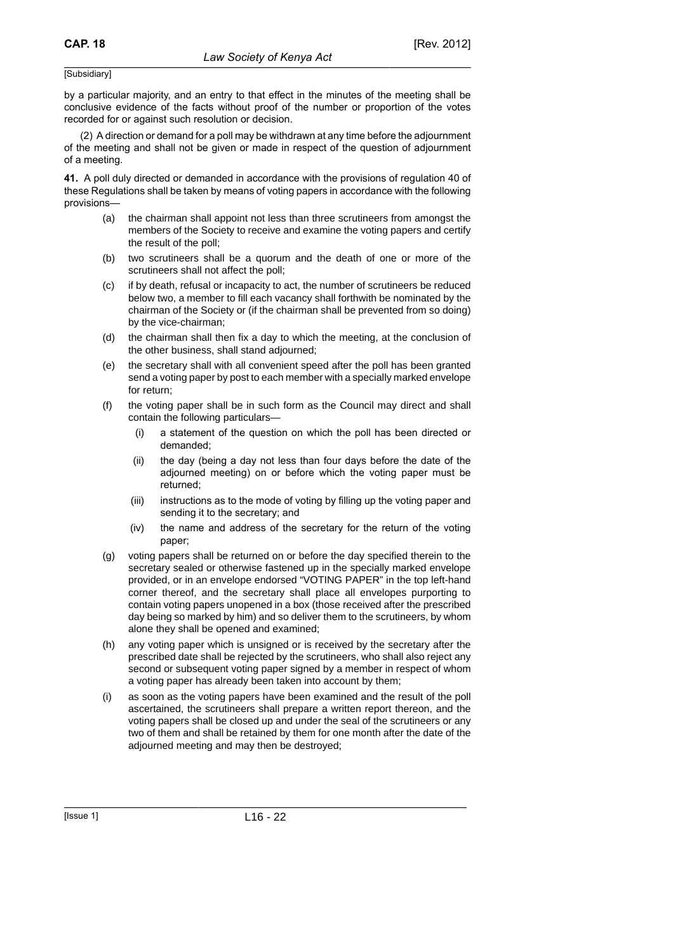by a particular majority, and an entry to that effect in the minutes of the meeting shall be conclusive evidence of the facts without proof of the number or proportion of the votes recorded for or against such resolution or decision.

(2) A direction or demand for a poll may be withdrawn at any time before the adjournment of the meeting and shall not be given or made in respect of the question of adjournment of a meeting.

**41.** A poll duly directed or demanded in accordance with the provisions of regulation 40 of these Regulations shall be taken by means of voting papers in accordance with the following provisions—

- (a) the chairman shall appoint not less than three scrutineers from amongst the members of the Society to receive and examine the voting papers and certify the result of the poll;
- (b) two scrutineers shall be a quorum and the death of one or more of the scrutineers shall not affect the poll;
- (c) if by death, refusal or incapacity to act, the number of scrutineers be reduced below two, a member to fill each vacancy shall forthwith be nominated by the chairman of the Society or (if the chairman shall be prevented from so doing) by the vice-chairman;
- (d) the chairman shall then fix a day to which the meeting, at the conclusion of the other business, shall stand adjourned;
- (e) the secretary shall with all convenient speed after the poll has been granted send a voting paper by post to each member with a specially marked envelope for return;
- (f) the voting paper shall be in such form as the Council may direct and shall contain the following particulars—
	- (i) a statement of the question on which the poll has been directed or demanded;
	- (ii) the day (being a day not less than four days before the date of the adjourned meeting) on or before which the voting paper must be returned;
	- (iii) instructions as to the mode of voting by filling up the voting paper and sending it to the secretary; and
	- (iv) the name and address of the secretary for the return of the voting paper;
- (g) voting papers shall be returned on or before the day specified therein to the secretary sealed or otherwise fastened up in the specially marked envelope provided, or in an envelope endorsed "VOTING PAPER" in the top left-hand corner thereof, and the secretary shall place all envelopes purporting to contain voting papers unopened in a box (those received after the prescribed day being so marked by him) and so deliver them to the scrutineers, by whom alone they shall be opened and examined;
- (h) any voting paper which is unsigned or is received by the secretary after the prescribed date shall be rejected by the scrutineers, who shall also reject any second or subsequent voting paper signed by a member in respect of whom a voting paper has already been taken into account by them;
- (i) as soon as the voting papers have been examined and the result of the poll ascertained, the scrutineers shall prepare a written report thereon, and the voting papers shall be closed up and under the seal of the scrutineers or any two of them and shall be retained by them for one month after the date of the adjourned meeting and may then be destroyed;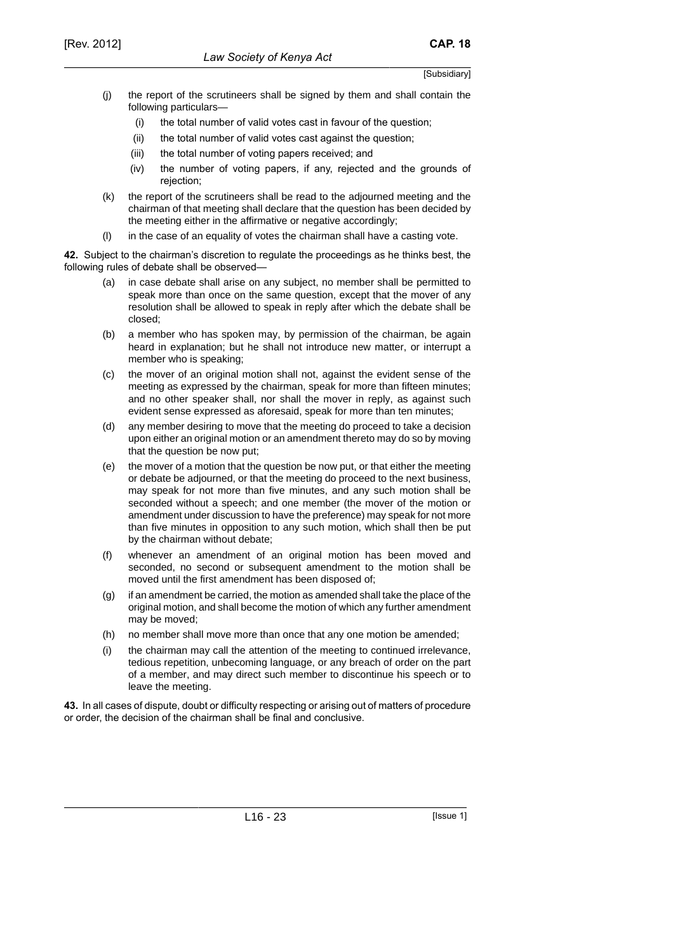- [Subsidiary]
- (j) the report of the scrutineers shall be signed by them and shall contain the following particulars—
	- (i) the total number of valid votes cast in favour of the question;
	- (ii) the total number of valid votes cast against the question;
	- (iii) the total number of voting papers received; and
	- (iv) the number of voting papers, if any, rejected and the grounds of rejection;
- (k) the report of the scrutineers shall be read to the adjourned meeting and the chairman of that meeting shall declare that the question has been decided by the meeting either in the affirmative or negative accordingly;
- (l) in the case of an equality of votes the chairman shall have a casting vote.

**42.** Subject to the chairman's discretion to regulate the proceedings as he thinks best, the following rules of debate shall be observed—

- (a) in case debate shall arise on any subject, no member shall be permitted to speak more than once on the same question, except that the mover of any resolution shall be allowed to speak in reply after which the debate shall be closed;
- (b) a member who has spoken may, by permission of the chairman, be again heard in explanation; but he shall not introduce new matter, or interrupt a member who is speaking;
- (c) the mover of an original motion shall not, against the evident sense of the meeting as expressed by the chairman, speak for more than fifteen minutes; and no other speaker shall, nor shall the mover in reply, as against such evident sense expressed as aforesaid, speak for more than ten minutes;
- (d) any member desiring to move that the meeting do proceed to take a decision upon either an original motion or an amendment thereto may do so by moving that the question be now put;
- (e) the mover of a motion that the question be now put, or that either the meeting or debate be adjourned, or that the meeting do proceed to the next business, may speak for not more than five minutes, and any such motion shall be seconded without a speech; and one member (the mover of the motion or amendment under discussion to have the preference) may speak for not more than five minutes in opposition to any such motion, which shall then be put by the chairman without debate;
- (f) whenever an amendment of an original motion has been moved and seconded, no second or subsequent amendment to the motion shall be moved until the first amendment has been disposed of;
- (g) if an amendment be carried, the motion as amended shall take the place of the original motion, and shall become the motion of which any further amendment may be moved;
- (h) no member shall move more than once that any one motion be amended;
- (i) the chairman may call the attention of the meeting to continued irrelevance, tedious repetition, unbecoming language, or any breach of order on the part of a member, and may direct such member to discontinue his speech or to leave the meeting.

**43.** In all cases of dispute, doubt or difficulty respecting or arising out of matters of procedure or order, the decision of the chairman shall be final and conclusive.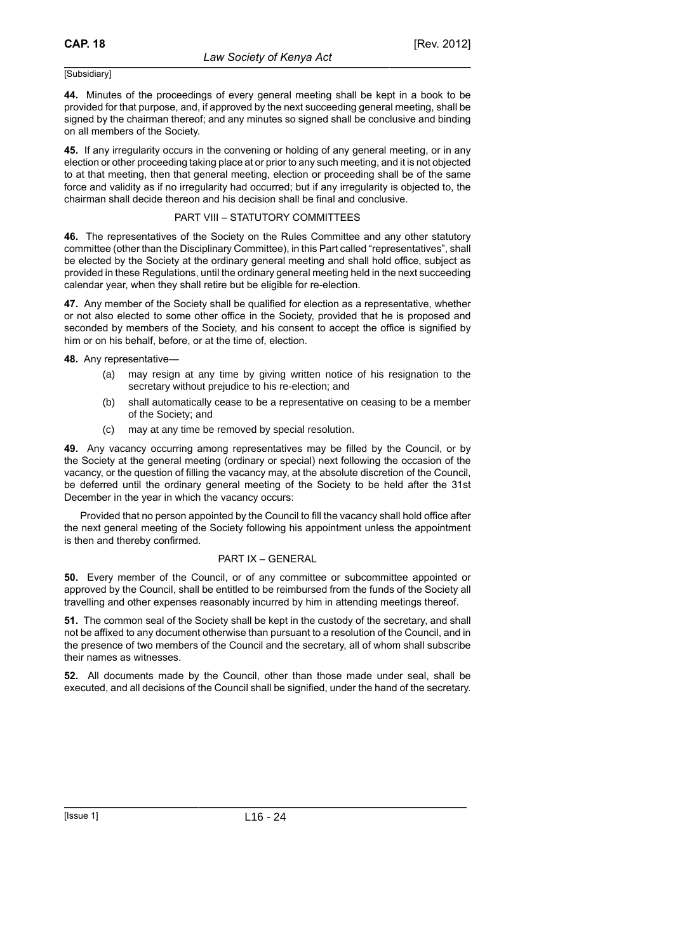**44.** Minutes of the proceedings of every general meeting shall be kept in a book to be provided for that purpose, and, if approved by the next succeeding general meeting, shall be signed by the chairman thereof; and any minutes so signed shall be conclusive and binding on all members of the Society.

**45.** If any irregularity occurs in the convening or holding of any general meeting, or in any election or other proceeding taking place at or prior to any such meeting, and it is not objected to at that meeting, then that general meeting, election or proceeding shall be of the same force and validity as if no irregularity had occurred; but if any irregularity is objected to, the chairman shall decide thereon and his decision shall be final and conclusive.

#### PART VIII – STATUTORY COMMITTEES

**46.** The representatives of the Society on the Rules Committee and any other statutory committee (other than the Disciplinary Committee), in this Part called "representatives", shall be elected by the Society at the ordinary general meeting and shall hold office, subject as provided in these Regulations, until the ordinary general meeting held in the next succeeding calendar year, when they shall retire but be eligible for re-election.

**47.** Any member of the Society shall be qualified for election as a representative, whether or not also elected to some other office in the Society, provided that he is proposed and seconded by members of the Society, and his consent to accept the office is signified by him or on his behalf, before, or at the time of, election.

**48.** Any representative—

- (a) may resign at any time by giving written notice of his resignation to the secretary without prejudice to his re-election; and
- (b) shall automatically cease to be a representative on ceasing to be a member of the Society; and
- (c) may at any time be removed by special resolution.

**49.** Any vacancy occurring among representatives may be filled by the Council, or by the Society at the general meeting (ordinary or special) next following the occasion of the vacancy, or the question of filling the vacancy may, at the absolute discretion of the Council, be deferred until the ordinary general meeting of the Society to be held after the 31st December in the year in which the vacancy occurs:

Provided that no person appointed by the Council to fill the vacancy shall hold office after the next general meeting of the Society following his appointment unless the appointment is then and thereby confirmed.

#### PART IX – GENERAL

**50.** Every member of the Council, or of any committee or subcommittee appointed or approved by the Council, shall be entitled to be reimbursed from the funds of the Society all travelling and other expenses reasonably incurred by him in attending meetings thereof.

**51.** The common seal of the Society shall be kept in the custody of the secretary, and shall not be affixed to any document otherwise than pursuant to a resolution of the Council, and in the presence of two members of the Council and the secretary, all of whom shall subscribe their names as witnesses.

**52.** All documents made by the Council, other than those made under seal, shall be executed, and all decisions of the Council shall be signified, under the hand of the secretary.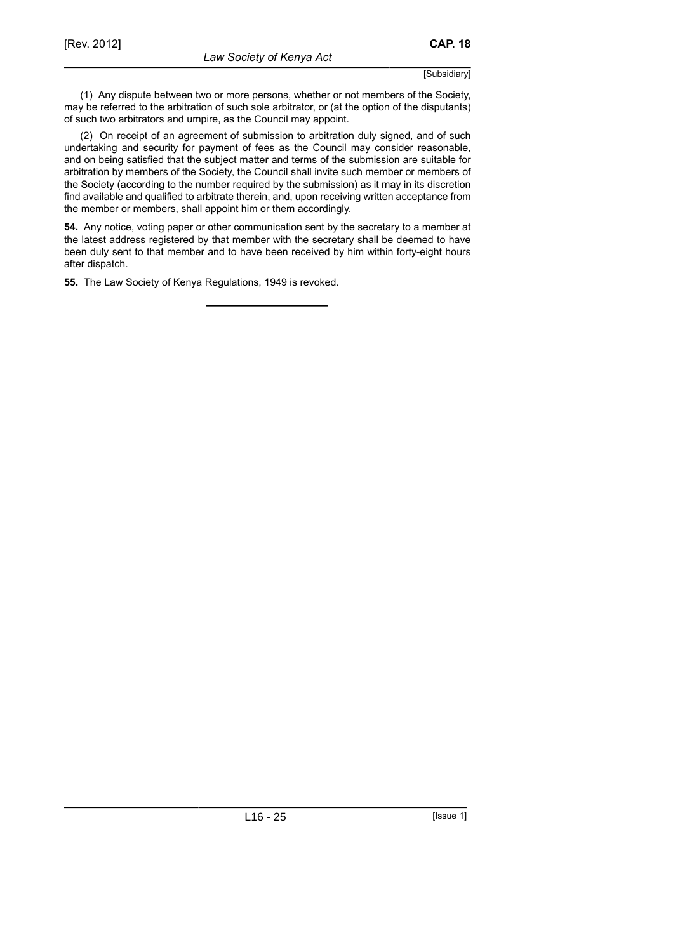(1) Any dispute between two or more persons, whether or not members of the Society, may be referred to the arbitration of such sole arbitrator, or (at the option of the disputants) of such two arbitrators and umpire, as the Council may appoint.

(2) On receipt of an agreement of submission to arbitration duly signed, and of such undertaking and security for payment of fees as the Council may consider reasonable, and on being satisfied that the subject matter and terms of the submission are suitable for arbitration by members of the Society, the Council shall invite such member or members of the Society (according to the number required by the submission) as it may in its discretion find available and qualified to arbitrate therein, and, upon receiving written acceptance from the member or members, shall appoint him or them accordingly.

**54.** Any notice, voting paper or other communication sent by the secretary to a member at the latest address registered by that member with the secretary shall be deemed to have been duly sent to that member and to have been received by him within forty-eight hours after dispatch.

**55.** The Law Society of Kenya Regulations, 1949 is revoked.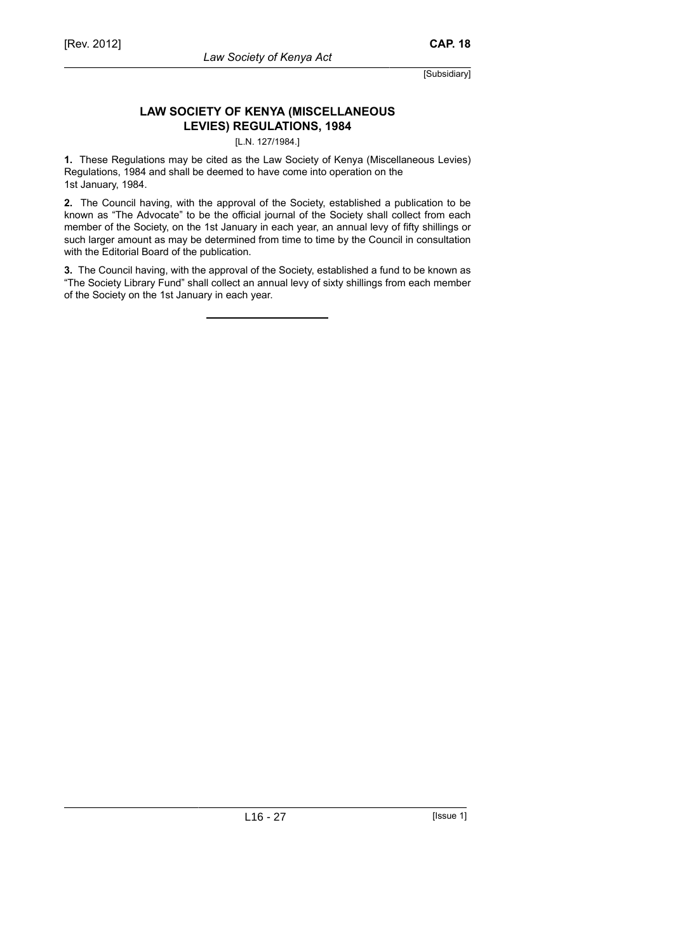## **LAW SOCIETY OF KENYA (MISCELLANEOUS LEVIES) REGULATIONS, 1984**

#### [L.N. 127/1984.]

**1.** These Regulations may be cited as the Law Society of Kenya (Miscellaneous Levies) Regulations, 1984 and shall be deemed to have come into operation on the 1st January, 1984.

**2.** The Council having, with the approval of the Society, established a publication to be known as "The Advocate" to be the official journal of the Society shall collect from each member of the Society, on the 1st January in each year, an annual levy of fifty shillings or such larger amount as may be determined from time to time by the Council in consultation with the Editorial Board of the publication.

**3.** The Council having, with the approval of the Society, established a fund to be known as "The Society Library Fund" shall collect an annual levy of sixty shillings from each member of the Society on the 1st January in each year.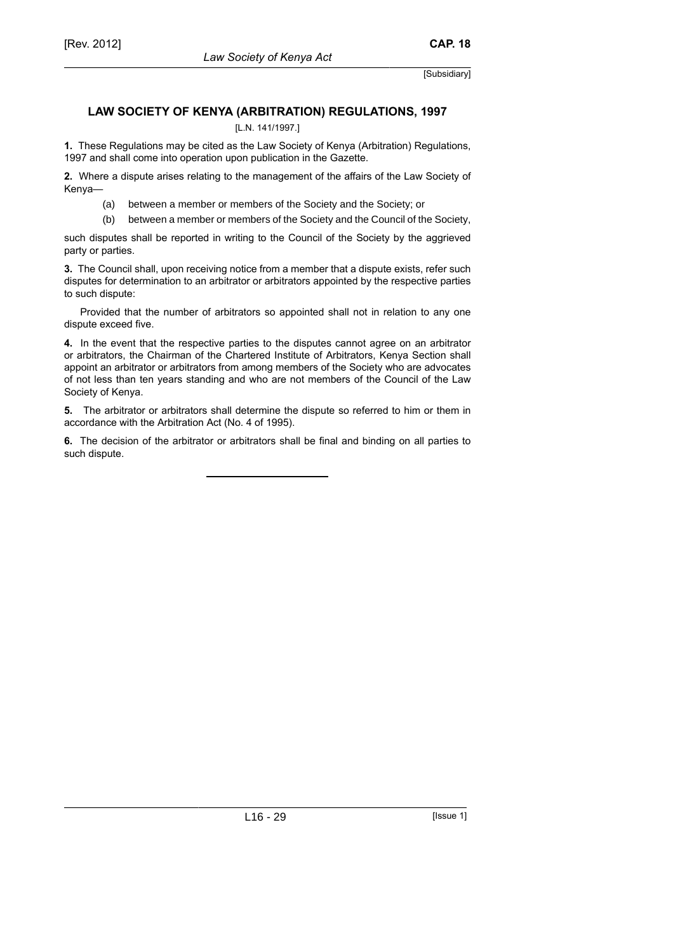# **LAW SOCIETY OF KENYA (ARBITRATION) REGULATIONS, 1997**

*Law Society of Kenya Act*

[L.N. 141/1997.]

**1.** These Regulations may be cited as the Law Society of Kenya (Arbitration) Regulations, 1997 and shall come into operation upon publication in the Gazette.

**2.** Where a dispute arises relating to the management of the affairs of the Law Society of Kenya—

(a) between a member or members of the Society and the Society; or

(b) between a member or members of the Society and the Council of the Society,

such disputes shall be reported in writing to the Council of the Society by the aggrieved party or parties.

**3.** The Council shall, upon receiving notice from a member that a dispute exists, refer such disputes for determination to an arbitrator or arbitrators appointed by the respective parties to such dispute:

Provided that the number of arbitrators so appointed shall not in relation to any one dispute exceed five.

**4.** In the event that the respective parties to the disputes cannot agree on an arbitrator or arbitrators, the Chairman of the Chartered Institute of Arbitrators, Kenya Section shall appoint an arbitrator or arbitrators from among members of the Society who are advocates of not less than ten years standing and who are not members of the Council of the Law Society of Kenya.

**5.** The arbitrator or arbitrators shall determine the dispute so referred to him or them in accordance with the Arbitration Act (No. 4 of 1995).

**6.** The decision of the arbitrator or arbitrators shall be final and binding on all parties to such dispute.